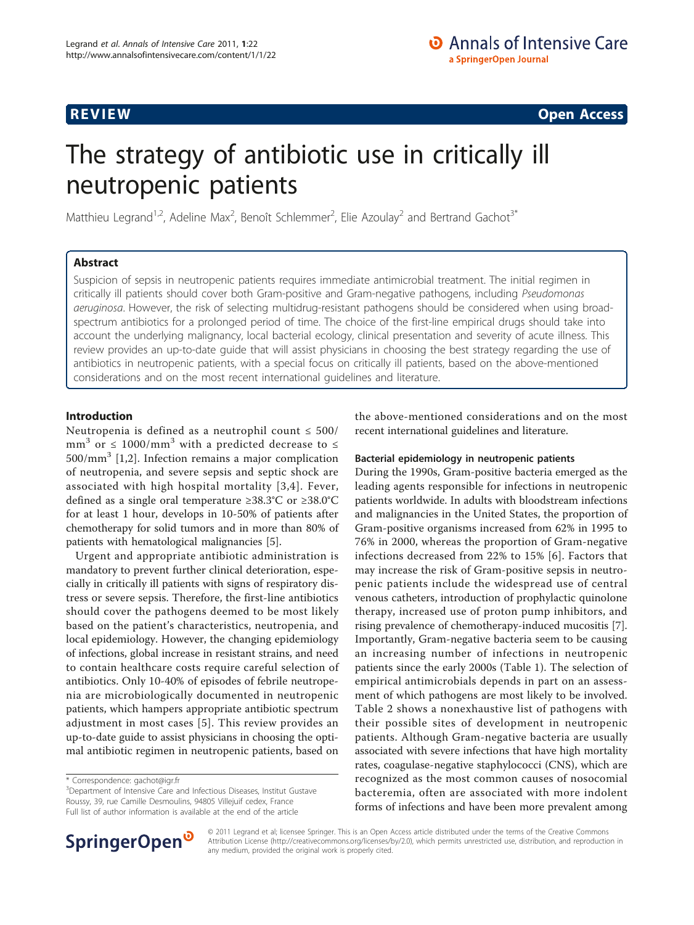# **REVIEW REVIEW CONSTRUCTER CONSTRUCTION**

# The strategy of antibiotic use in critically ill neutropenic patients

Matthieu Legrand<sup>1,2</sup>, Adeline Max<sup>2</sup>, Benoît Schlemmer<sup>2</sup>, Elie Azoulay<sup>2</sup> and Bertrand Gachot<sup>3\*</sup>

# Abstract

Suspicion of sepsis in neutropenic patients requires immediate antimicrobial treatment. The initial regimen in critically ill patients should cover both Gram-positive and Gram-negative pathogens, including Pseudomonas aeruginosa. However, the risk of selecting multidrug-resistant pathogens should be considered when using broadspectrum antibiotics for a prolonged period of time. The choice of the first-line empirical drugs should take into account the underlying malignancy, local bacterial ecology, clinical presentation and severity of acute illness. This review provides an up-to-date guide that will assist physicians in choosing the best strategy regarding the use of antibiotics in neutropenic patients, with a special focus on critically ill patients, based on the above-mentioned considerations and on the most recent international guidelines and literature.

# Introduction

Neutropenia is defined as a neutrophil count  $\leq 500/$ mm<sup>3</sup> or  $\leq 1000/mm^3$  with a predicted decrease to  $\leq$  $500/mm<sup>3</sup>$  [\[1](#page-7-0),[2\]](#page-7-0). Infection remains a major complication of neutropenia, and severe sepsis and septic shock are associated with high hospital mortality [[3](#page-7-0),[4](#page-7-0)]. Fever, defined as a single oral temperature ≥38.3°C or ≥38.0°C for at least 1 hour, develops in 10-50% of patients after chemotherapy for solid tumors and in more than 80% of patients with hematological malignancies [[5](#page-7-0)].

Urgent and appropriate antibiotic administration is mandatory to prevent further clinical deterioration, especially in critically ill patients with signs of respiratory distress or severe sepsis. Therefore, the first-line antibiotics should cover the pathogens deemed to be most likely based on the patient's characteristics, neutropenia, and local epidemiology. However, the changing epidemiology of infections, global increase in resistant strains, and need to contain healthcare costs require careful selection of antibiotics. Only 10-40% of episodes of febrile neutropenia are microbiologically documented in neutropenic patients, which hampers appropriate antibiotic spectrum adjustment in most cases [[5](#page-7-0)]. This review provides an up-to-date guide to assist physicians in choosing the optimal antibiotic regimen in neutropenic patients, based on

the above-mentioned considerations and on the most recent international guidelines and literature.

## Bacterial epidemiology in neutropenic patients

During the 1990s, Gram-positive bacteria emerged as the leading agents responsible for infections in neutropenic patients worldwide. In adults with bloodstream infections and malignancies in the United States, the proportion of Gram-positive organisms increased from 62% in 1995 to 76% in 2000, whereas the proportion of Gram-negative infections decreased from 22% to 15% [[6](#page-7-0)]. Factors that may increase the risk of Gram-positive sepsis in neutropenic patients include the widespread use of central venous catheters, introduction of prophylactic quinolone therapy, increased use of proton pump inhibitors, and rising prevalence of chemotherapy-induced mucositis [\[7](#page-7-0)]. Importantly, Gram-negative bacteria seem to be causing an increasing number of infections in neutropenic patients since the early 2000s (Table [1\)](#page-1-0). The selection of empirical antimicrobials depends in part on an assessment of which pathogens are most likely to be involved. Table [2](#page-1-0) shows a nonexhaustive list of pathogens with their possible sites of development in neutropenic patients. Although Gram-negative bacteria are usually associated with severe infections that have high mortality rates, coagulase-negative staphylococci (CNS), which are recognized as the most common causes of nosocomial bacteremia, often are associated with more indolent forms of infections and have been more prevalent among



© 2011 Legrand et al; licensee Springer. This is an Open Access article distributed under the terms of the Creative Commons Attribution License [\(http://creativecommons.org/licenses/by/2.0](http://creativecommons.org/licenses/by/2.0)), which permits unrestricted use, distribution, and reproduction in any medium, provided the original work is properly cited.

<sup>\*</sup> Correspondence: [gachot@igr.fr](mailto:gachot@igr.fr)

<sup>&</sup>lt;sup>3</sup>Department of Intensive Care and Infectious Diseases, Institut Gustave Roussy, 39, rue Camille Desmoulins, 94805 Villejuif cedex, France Full list of author information is available at the end of the article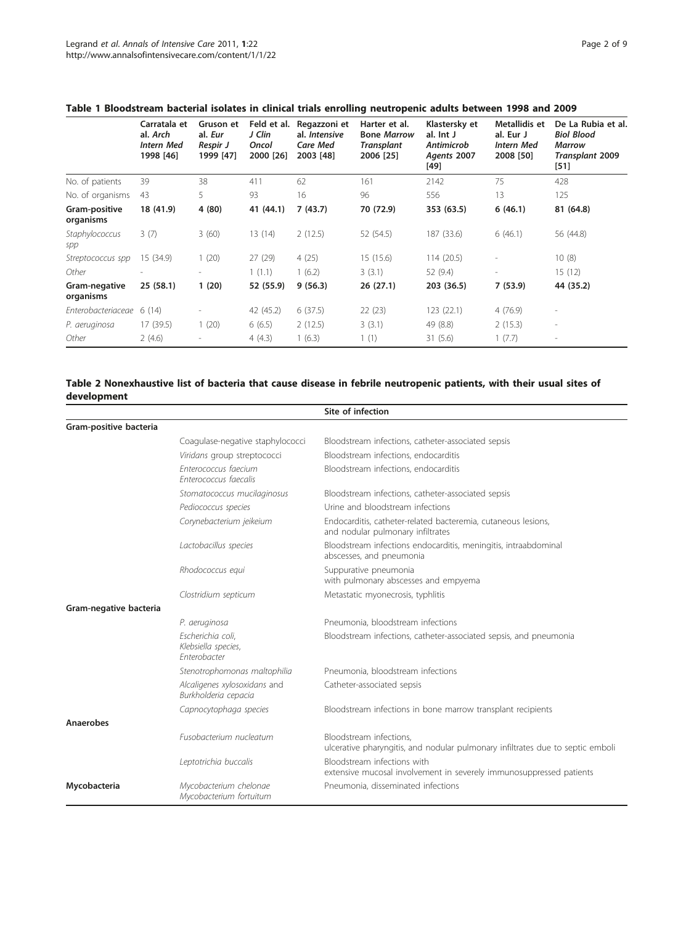# <span id="page-1-0"></span>Table 1 Bloodstream bacterial isolates in clinical trials enrolling neutropenic adults between 1998 and 2009

|                            | Carratala et<br>al. Arch<br><b>Intern Med</b><br>1998 [46] | Gruson et<br>al. Eur<br>Respir J<br>1999 [47] | Feld et al.<br>J Clin<br>Oncol<br>2000 [26] | Regazzoni et<br>al. Intensive<br><b>Care Med</b><br>2003 [48] | Harter et al.<br><b>Bone Marrow</b><br>Transplant<br>2006 [25] | Klastersky et<br>al. Int J<br>Antimicrob<br>Agents 2007<br>[49] | Metallidis et<br>al. Eur J<br><b>Intern Med</b><br>2008 [50] | De La Rubia et al.<br><b>Biol Blood</b><br><b>Marrow</b><br>Transplant 2009<br>$[51]$ |
|----------------------------|------------------------------------------------------------|-----------------------------------------------|---------------------------------------------|---------------------------------------------------------------|----------------------------------------------------------------|-----------------------------------------------------------------|--------------------------------------------------------------|---------------------------------------------------------------------------------------|
| No. of patients            | 39                                                         | 38                                            | 411                                         | 62                                                            | 161                                                            | 2142                                                            | 75                                                           | 428                                                                                   |
| No. of organisms           | 43                                                         | 5                                             | 93                                          | 16                                                            | 96                                                             | 556                                                             | 13                                                           | 125                                                                                   |
| Gram-positive<br>organisms | 18 (41.9)                                                  | 4(80)                                         | 41 (44.1)                                   | 7(43.7)                                                       | 70 (72.9)                                                      | 353 (63.5)                                                      | 6(46.1)                                                      | 81 (64.8)                                                                             |
| Staphylococcus<br>spp      | 3(7)                                                       | 3(60)                                         | 13 (14)                                     | 2(12.5)                                                       | 52 (54.5)                                                      | 187 (33.6)                                                      | 6(46.1)                                                      | 56 (44.8)                                                                             |
| Streptococcus spp          | 15 (34.9)                                                  | 1(20)                                         | 27 (29)                                     | 4(25)                                                         | 15 (15.6)                                                      | 114 (20.5)                                                      |                                                              | 10(8)                                                                                 |
| Other                      |                                                            | ۰.                                            | 1(1.1)                                      | 1(6.2)                                                        | 3(3.1)                                                         | 52 (9.4)                                                        |                                                              | 15(12)                                                                                |
| Gram-negative<br>organisms | 25(58.1)                                                   | 1(20)                                         | 52 (55.9)                                   | 9(56.3)                                                       | 26(27.1)                                                       | 203 (36.5)                                                      | 7(53.9)                                                      | 44 (35.2)                                                                             |
| Enterobacteriaceae         | 6(14)                                                      |                                               | 42 (45.2)                                   | 6(37.5)                                                       | 22(23)                                                         | 123(22.1)                                                       | 4(76.9)                                                      | $\overline{\phantom{a}}$                                                              |
| P. aeruginosa              | 17 (39.5)                                                  | 1(20)                                         | 6(6.5)                                      | 2(12.5)                                                       | 3(3.1)                                                         | 49 (8.8)                                                        | 2(15.3)                                                      | $\sim$                                                                                |
| Other                      | 2(4.6)                                                     |                                               | 4(4.3)                                      | 1(6.3)                                                        | 1(1)                                                           | 31(5.6)                                                         | 1(7.7)                                                       | $\overline{\phantom{a}}$                                                              |

## Table 2 Nonexhaustive list of bacteria that cause disease in febrile neutropenic patients, with their usual sites of development

|                        |                                                          | Site of infection                                                                                         |
|------------------------|----------------------------------------------------------|-----------------------------------------------------------------------------------------------------------|
| Gram-positive bacteria |                                                          |                                                                                                           |
|                        | Coagulase-negative staphylococci                         | Bloodstream infections, catheter-associated sepsis                                                        |
|                        | Viridans group streptococci                              | Bloodstream infections, endocarditis                                                                      |
|                        | Enterococcus faecium<br>Enterococcus faecalis            | Bloodstream infections, endocarditis                                                                      |
|                        | Stomatococcus mucilaginosus                              | Bloodstream infections, catheter-associated sepsis                                                        |
|                        | Pediococcus species                                      | Urine and bloodstream infections                                                                          |
|                        | Corynebacterium jeikeium                                 | Endocarditis, catheter-related bacteremia, cutaneous lesions,<br>and nodular pulmonary infiltrates        |
|                        | Lactobacillus species                                    | Bloodstream infections endocarditis, meningitis, intraabdominal<br>abscesses, and pneumonia               |
|                        | Rhodococcus equi                                         | Suppurative pneumonia<br>with pulmonary abscesses and empyema                                             |
|                        | Clostridium septicum                                     | Metastatic myonecrosis, typhlitis                                                                         |
| Gram-negative bacteria |                                                          |                                                                                                           |
|                        | P. aeruginosa                                            | Pneumonia, bloodstream infections                                                                         |
|                        | Escherichia coli,<br>Klebsiella species,<br>Enterobacter | Bloodstream infections, catheter-associated sepsis, and pneumonia                                         |
|                        | Stenotrophomonas maltophilia                             | Pneumonia, bloodstream infections                                                                         |
|                        | Alcaligenes xylosoxidans and<br>Burkholderia cepacia     | Catheter-associated sepsis                                                                                |
|                        | Capnocytophaga species                                   | Bloodstream infections in bone marrow transplant recipients                                               |
| Anaerobes              |                                                          |                                                                                                           |
|                        | Fusobacterium nucleatum                                  | Bloodstream infections,<br>ulcerative pharyngitis, and nodular pulmonary infiltrates due to septic emboli |
|                        | Leptotrichia buccalis                                    | Bloodstream infections with<br>extensive mucosal involvement in severely immunosuppressed patients        |
| Mycobacteria           | Mycobacterium chelonae<br>Mycobacterium fortuitum        | Pneumonia, disseminated infections                                                                        |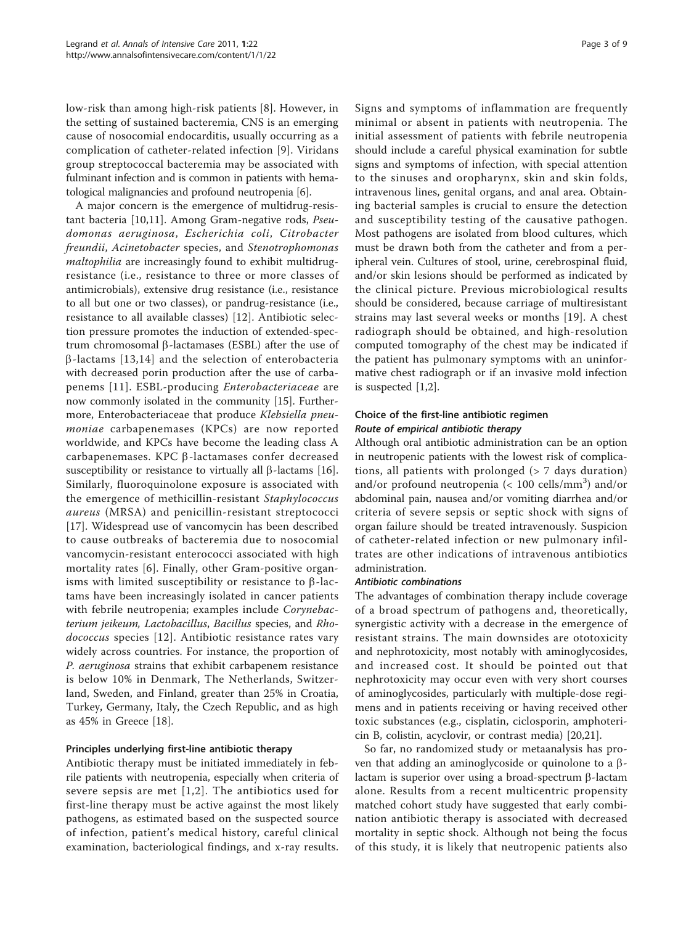low-risk than among high-risk patients [\[8](#page-7-0)]. However, in the setting of sustained bacteremia, CNS is an emerging cause of nosocomial endocarditis, usually occurring as a complication of catheter-related infection [[9](#page-7-0)]. Viridans group streptococcal bacteremia may be associated with fulminant infection and is common in patients with hematological malignancies and profound neutropenia [[6](#page-7-0)].

A major concern is the emergence of multidrug-resistant bacteria [[10](#page-7-0),[11\]](#page-7-0). Among Gram-negative rods, Pseudomonas aeruginosa, Escherichia coli, Citrobacter freundii, Acinetobacter species, and Stenotrophomonas maltophilia are increasingly found to exhibit multidrugresistance (i.e., resistance to three or more classes of antimicrobials), extensive drug resistance (i.e., resistance to all but one or two classes), or pandrug-resistance (i.e., resistance to all available classes) [[12\]](#page-7-0). Antibiotic selection pressure promotes the induction of extended-spectrum chromosomal  $\beta$ -lactamases (ESBL) after the use of  $\beta$ -lactams [\[13,14\]](#page-7-0) and the selection of enterobacteria with decreased porin production after the use of carbapenems [[11](#page-7-0)]. ESBL-producing Enterobacteriaceae are now commonly isolated in the community [\[15\]](#page-7-0). Furthermore, Enterobacteriaceae that produce Klebsiella pneumoniae carbapenemases (KPCs) are now reported worldwide, and KPCs have become the leading class A carbapenemases. KPC  $\beta$ -lactamases confer decreased susceptibility or resistance to virtually all  $\beta$ -lactams [\[16](#page-7-0)]. Similarly, fluoroquinolone exposure is associated with the emergence of methicillin-resistant Staphylococcus aureus (MRSA) and penicillin-resistant streptococci [[17\]](#page-7-0). Widespread use of vancomycin has been described to cause outbreaks of bacteremia due to nosocomial vancomycin-resistant enterococci associated with high mortality rates [[6\]](#page-7-0). Finally, other Gram-positive organisms with limited susceptibility or resistance to  $\beta$ -lactams have been increasingly isolated in cancer patients with febrile neutropenia; examples include Corynebacterium jeikeum, Lactobacillus, Bacillus species, and Rhodococcus species [[12\]](#page-7-0). Antibiotic resistance rates vary widely across countries. For instance, the proportion of P. aeruginosa strains that exhibit carbapenem resistance is below 10% in Denmark, The Netherlands, Switzerland, Sweden, and Finland, greater than 25% in Croatia, Turkey, Germany, Italy, the Czech Republic, and as high as 45% in Greece [[18\]](#page-7-0).

## Principles underlying first-line antibiotic therapy

Antibiotic therapy must be initiated immediately in febrile patients with neutropenia, especially when criteria of severe sepsis are met [[1,2\]](#page-7-0). The antibiotics used for first-line therapy must be active against the most likely pathogens, as estimated based on the suspected source of infection, patient's medical history, careful clinical examination, bacteriological findings, and x-ray results. Signs and symptoms of inflammation are frequently minimal or absent in patients with neutropenia. The initial assessment of patients with febrile neutropenia should include a careful physical examination for subtle signs and symptoms of infection, with special attention to the sinuses and oropharynx, skin and skin folds, intravenous lines, genital organs, and anal area. Obtaining bacterial samples is crucial to ensure the detection and susceptibility testing of the causative pathogen. Most pathogens are isolated from blood cultures, which must be drawn both from the catheter and from a peripheral vein. Cultures of stool, urine, cerebrospinal fluid, and/or skin lesions should be performed as indicated by the clinical picture. Previous microbiological results should be considered, because carriage of multiresistant strains may last several weeks or months [[19](#page-7-0)]. A chest radiograph should be obtained, and high-resolution computed tomography of the chest may be indicated if the patient has pulmonary symptoms with an uninformative chest radiograph or if an invasive mold infection is suspected [\[1,2](#page-7-0)].

# Choice of the first-line antibiotic regimen Route of empirical antibiotic therapy

Although oral antibiotic administration can be an option in neutropenic patients with the lowest risk of complications, all patients with prolonged (> 7 days duration) and/or profound neutropenia (< 100 cells/mm<sup>3</sup>) and/or abdominal pain, nausea and/or vomiting diarrhea and/or criteria of severe sepsis or septic shock with signs of organ failure should be treated intravenously. Suspicion of catheter-related infection or new pulmonary infiltrates are other indications of intravenous antibiotics administration.

#### Antibiotic combinations

The advantages of combination therapy include coverage of a broad spectrum of pathogens and, theoretically, synergistic activity with a decrease in the emergence of resistant strains. The main downsides are ototoxicity and nephrotoxicity, most notably with aminoglycosides, and increased cost. It should be pointed out that nephrotoxicity may occur even with very short courses of aminoglycosides, particularly with multiple-dose regimens and in patients receiving or having received other toxic substances (e.g., cisplatin, ciclosporin, amphotericin B, colistin, acyclovir, or contrast media) [[20,21](#page-8-0)].

So far, no randomized study or metaanalysis has proven that adding an aminoglycoside or quinolone to a  $\beta$ lactam is superior over using a broad-spectrum  $\beta$ -lactam alone. Results from a recent multicentric propensity matched cohort study have suggested that early combination antibiotic therapy is associated with decreased mortality in septic shock. Although not being the focus of this study, it is likely that neutropenic patients also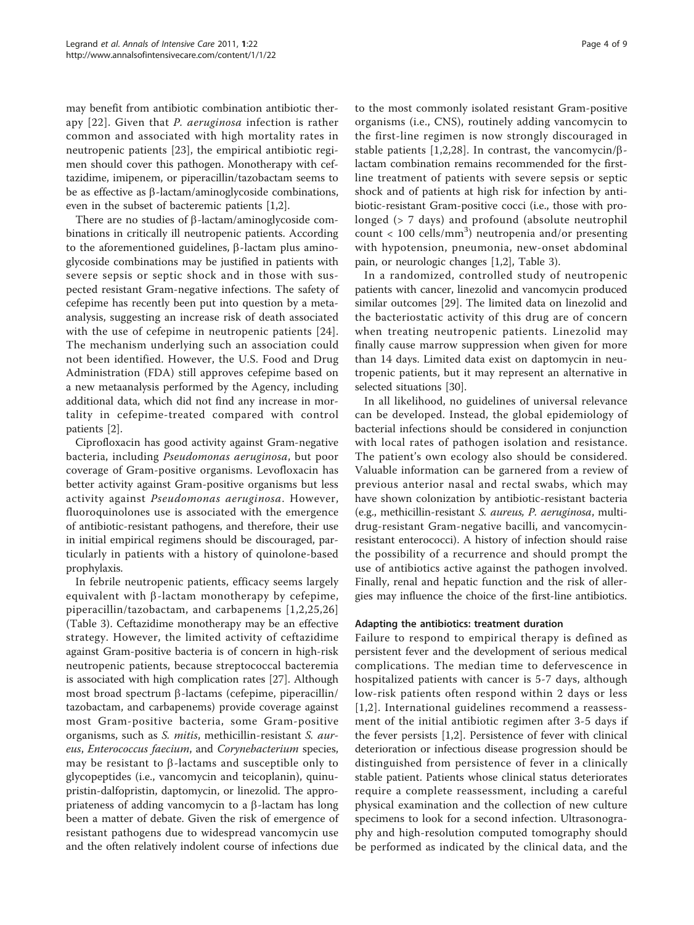may benefit from antibiotic combination antibiotic therapy [[22](#page-8-0)]. Given that P. aeruginosa infection is rather common and associated with high mortality rates in neutropenic patients [[23](#page-8-0)], the empirical antibiotic regimen should cover this pathogen. Monotherapy with ceftazidime, imipenem, or piperacillin/tazobactam seems to be as effective as  $\beta$ -lactam/aminoglycoside combinations, even in the subset of bacteremic patients [[1,2\]](#page-7-0).

There are no studies of  $\beta$ -lactam/aminoglycoside combinations in critically ill neutropenic patients. According to the aforementioned guidelines,  $\beta$ -lactam plus aminoglycoside combinations may be justified in patients with severe sepsis or septic shock and in those with suspected resistant Gram-negative infections. The safety of cefepime has recently been put into question by a metaanalysis, suggesting an increase risk of death associated with the use of cefepime in neutropenic patients [[24](#page-8-0)]. The mechanism underlying such an association could not been identified. However, the U.S. Food and Drug Administration (FDA) still approves cefepime based on a new metaanalysis performed by the Agency, including additional data, which did not find any increase in mortality in cefepime-treated compared with control patients [\[2\]](#page-7-0).

Ciprofloxacin has good activity against Gram-negative bacteria, including Pseudomonas aeruginosa, but poor coverage of Gram-positive organisms. Levofloxacin has better activity against Gram-positive organisms but less activity against Pseudomonas aeruginosa. However, fluoroquinolones use is associated with the emergence of antibiotic-resistant pathogens, and therefore, their use in initial empirical regimens should be discouraged, particularly in patients with a history of quinolone-based prophylaxis.

In febrile neutropenic patients, efficacy seems largely equivalent with  $\beta$ -lactam monotherapy by cefepime, piperacillin/tazobactam, and carbapenems [[1,2,](#page-7-0)[25,26](#page-8-0)] (Table [3](#page-4-0)). Ceftazidime monotherapy may be an effective strategy. However, the limited activity of ceftazidime against Gram-positive bacteria is of concern in high-risk neutropenic patients, because streptococcal bacteremia is associated with high complication rates [\[27\]](#page-8-0). Although most broad spectrum  $\beta$ -lactams (cefepime, piperacillin/ tazobactam, and carbapenems) provide coverage against most Gram-positive bacteria, some Gram-positive organisms, such as S. mitis, methicillin-resistant S. aureus, Enterococcus faecium, and Corynebacterium species, may be resistant to  $\beta$ -lactams and susceptible only to glycopeptides (i.e., vancomycin and teicoplanin), quinupristin-dalfopristin, daptomycin, or linezolid. The appropriateness of adding vancomycin to a  $\beta$ -lactam has long been a matter of debate. Given the risk of emergence of resistant pathogens due to widespread vancomycin use and the often relatively indolent course of infections due

to the most commonly isolated resistant Gram-positive organisms (i.e., CNS), routinely adding vancomycin to the first-line regimen is now strongly discouraged in stable patients [[1,2,](#page-7-0)[28](#page-8-0)]. In contrast, the vancomycin/ $\beta$ lactam combination remains recommended for the firstline treatment of patients with severe sepsis or septic shock and of patients at high risk for infection by antibiotic-resistant Gram-positive cocci (i.e., those with prolonged (> 7 days) and profound (absolute neutrophil  $count < 100$  cells/mm<sup>3</sup>) neutropenia and/or presenting with hypotension, pneumonia, new-onset abdominal pain, or neurologic changes [[1](#page-7-0),[2](#page-7-0)], Table [3\)](#page-4-0).

In a randomized, controlled study of neutropenic patients with cancer, linezolid and vancomycin produced similar outcomes [[29](#page-8-0)]. The limited data on linezolid and the bacteriostatic activity of this drug are of concern when treating neutropenic patients. Linezolid may finally cause marrow suppression when given for more than 14 days. Limited data exist on daptomycin in neutropenic patients, but it may represent an alternative in selected situations [[30](#page-8-0)].

In all likelihood, no guidelines of universal relevance can be developed. Instead, the global epidemiology of bacterial infections should be considered in conjunction with local rates of pathogen isolation and resistance. The patient's own ecology also should be considered. Valuable information can be garnered from a review of previous anterior nasal and rectal swabs, which may have shown colonization by antibiotic-resistant bacteria (e.g., methicillin-resistant S. aureus, P. aeruginosa, multidrug-resistant Gram-negative bacilli, and vancomycinresistant enterococci). A history of infection should raise the possibility of a recurrence and should prompt the use of antibiotics active against the pathogen involved. Finally, renal and hepatic function and the risk of allergies may influence the choice of the first-line antibiotics.

## Adapting the antibiotics: treatment duration

Failure to respond to empirical therapy is defined as persistent fever and the development of serious medical complications. The median time to defervescence in hospitalized patients with cancer is 5-7 days, although low-risk patients often respond within 2 days or less [[1](#page-7-0),[2\]](#page-7-0). International guidelines recommend a reassessment of the initial antibiotic regimen after 3-5 days if the fever persists [\[1,2](#page-7-0)]. Persistence of fever with clinical deterioration or infectious disease progression should be distinguished from persistence of fever in a clinically stable patient. Patients whose clinical status deteriorates require a complete reassessment, including a careful physical examination and the collection of new culture specimens to look for a second infection. Ultrasonography and high-resolution computed tomography should be performed as indicated by the clinical data, and the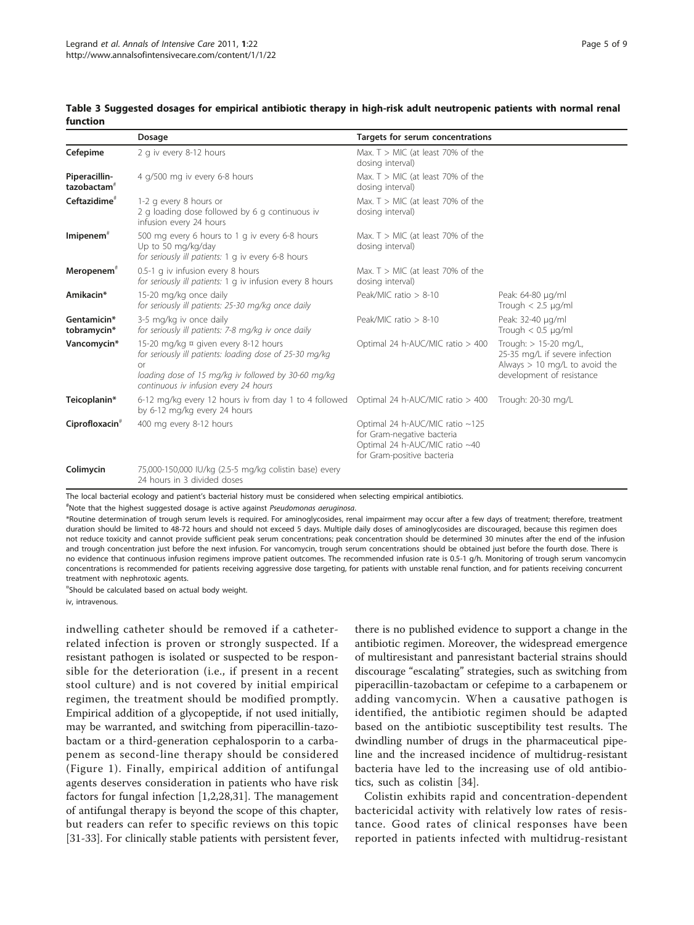|                                 | Dosage                                                                                                                                                                                                       | Targets for serum concentrations                                                                                              |                                                                                                                         |
|---------------------------------|--------------------------------------------------------------------------------------------------------------------------------------------------------------------------------------------------------------|-------------------------------------------------------------------------------------------------------------------------------|-------------------------------------------------------------------------------------------------------------------------|
| Cefepime                        | 2 g iv every 8-12 hours                                                                                                                                                                                      | Max. $T > MIC$ (at least 70% of the<br>dosing interval)                                                                       |                                                                                                                         |
| Piperacillin-<br>tazobactam $*$ | 4 g/500 mg iv every 6-8 hours                                                                                                                                                                                | Max. $T > MIC$ (at least 70% of the<br>dosing interval)                                                                       |                                                                                                                         |
| $Ceftazidime\#$                 | 1-2 g every 8 hours or<br>2 g loading dose followed by 6 g continuous iv<br>infusion every 24 hours                                                                                                          | Max. $T > MIC$ (at least 70% of the<br>dosing interval)                                                                       |                                                                                                                         |
| Imipenem <sup>#</sup>           | 500 mg every 6 hours to 1 g iv every 6-8 hours<br>Up to 50 mg/kg/day<br>for seriously ill patients: 1 g iv every 6-8 hours                                                                                   | Max. $T > MIC$ (at least 70% of the<br>dosing interval)                                                                       |                                                                                                                         |
| Meropenem <sup>#</sup>          | 0.5-1 g iv infusion every 8 hours<br>for seriously ill patients: 1 g iv infusion every 8 hours                                                                                                               | Max. $T > MIC$ (at least 70% of the<br>dosing interval)                                                                       |                                                                                                                         |
| Amikacin*                       | 15-20 mg/kg once daily<br>for seriously ill patients: 25-30 mg/kg once daily                                                                                                                                 | Peak/MIC ratio $> 8-10$                                                                                                       | Peak: 64-80 µg/ml<br>Trough $< 2.5$ $\mu$ g/ml                                                                          |
| Gentamicin*<br>tobramycin*      | 3-5 mg/kg iv once daily<br>for seriously ill patients: 7-8 mg/kg iv once daily                                                                                                                               | Peak/MIC ratio $> 8-10$                                                                                                       | Peak: 32-40 µg/ml<br>Trough $< 0.5$ µg/ml                                                                               |
| Vancomycin*                     | 15-20 mg/kg ¤ given every 8-12 hours<br>for seriously ill patients: loading dose of 25-30 mg/kg<br><b>Or</b><br>loading dose of 15 mg/kg iv followed by 30-60 mg/kg<br>continuous iv infusion every 24 hours | Optimal 24 h-AUC/MIC ratio > 400                                                                                              | Trough: > 15-20 mg/L,<br>25-35 mg/L if severe infection<br>Always $> 10$ mg/L to avoid the<br>development of resistance |
| Teicoplanin*                    | 6-12 mg/kg every 12 hours iv from day 1 to 4 followed Optimal 24 h-AUC/MIC ratio > 400 Trough: 20-30 mg/L<br>by 6-12 mg/kg every 24 hours                                                                    |                                                                                                                               |                                                                                                                         |
| Ciprofloxacin <sup>#</sup>      | 400 mg every 8-12 hours                                                                                                                                                                                      | Optimal 24 h-AUC/MIC ratio ~125<br>for Gram-negative bacteria<br>Optimal 24 h-AUC/MIC ratio ~40<br>for Gram-positive bacteria |                                                                                                                         |
| Colimycin                       | 75,000-150,000 IU/kg (2.5-5 mg/kg colistin base) every<br>24 hours in 3 divided doses                                                                                                                        |                                                                                                                               |                                                                                                                         |

<span id="page-4-0"></span>Table 3 Suggested dosages for empirical antibiotic therapy in high-risk adult neutropenic patients with normal renal function

The local bacterial ecology and patient's bacterial history must be considered when selecting empirical antibiotics.

# Note that the highest suggested dosage is active against Pseudomonas aeruginosa.

\*Routine determination of trough serum levels is required. For aminoglycosides, renal impairment may occur after a few days of treatment; therefore, treatment duration should be limited to 48-72 hours and should not exceed 5 days. Multiple daily doses of aminoglycosides are discouraged, because this regimen does not reduce toxicity and cannot provide sufficient peak serum concentrations; peak concentration should be determined 30 minutes after the end of the infusion and trough concentration just before the next infusion. For vancomycin, trough serum concentrations should be obtained just before the fourth dose. There is no evidence that continuous infusion regimens improve patient outcomes. The recommended infusion rate is 0.5-1 q/h. Monitoring of trough serum vancomycin concentrations is recommended for patients receiving aggressive dose targeting, for patients with unstable renal function, and for patients receiving concurrent treatment with nephrotoxic agents.

¤ Should be calculated based on actual body weight.

iv, intravenous.

indwelling catheter should be removed if a catheterrelated infection is proven or strongly suspected. If a resistant pathogen is isolated or suspected to be responsible for the deterioration (i.e., if present in a recent stool culture) and is not covered by initial empirical regimen, the treatment should be modified promptly. Empirical addition of a glycopeptide, if not used initially, may be warranted, and switching from piperacillin-tazobactam or a third-generation cephalosporin to a carbapenem as second-line therapy should be considered (Figure [1](#page-5-0)). Finally, empirical addition of antifungal agents deserves consideration in patients who have risk factors for fungal infection [\[1](#page-7-0),[2](#page-7-0),[28,31\]](#page-8-0). The management of antifungal therapy is beyond the scope of this chapter, but readers can refer to specific reviews on this topic [[31-33\]](#page-8-0). For clinically stable patients with persistent fever,

there is no published evidence to support a change in the antibiotic regimen. Moreover, the widespread emergence of multiresistant and panresistant bacterial strains should discourage "escalating" strategies, such as switching from piperacillin-tazobactam or cefepime to a carbapenem or adding vancomycin. When a causative pathogen is identified, the antibiotic regimen should be adapted based on the antibiotic susceptibility test results. The dwindling number of drugs in the pharmaceutical pipeline and the increased incidence of multidrug-resistant bacteria have led to the increasing use of old antibiotics, such as colistin [\[34\]](#page-8-0).

Colistin exhibits rapid and concentration-dependent bactericidal activity with relatively low rates of resistance. Good rates of clinical responses have been reported in patients infected with multidrug-resistant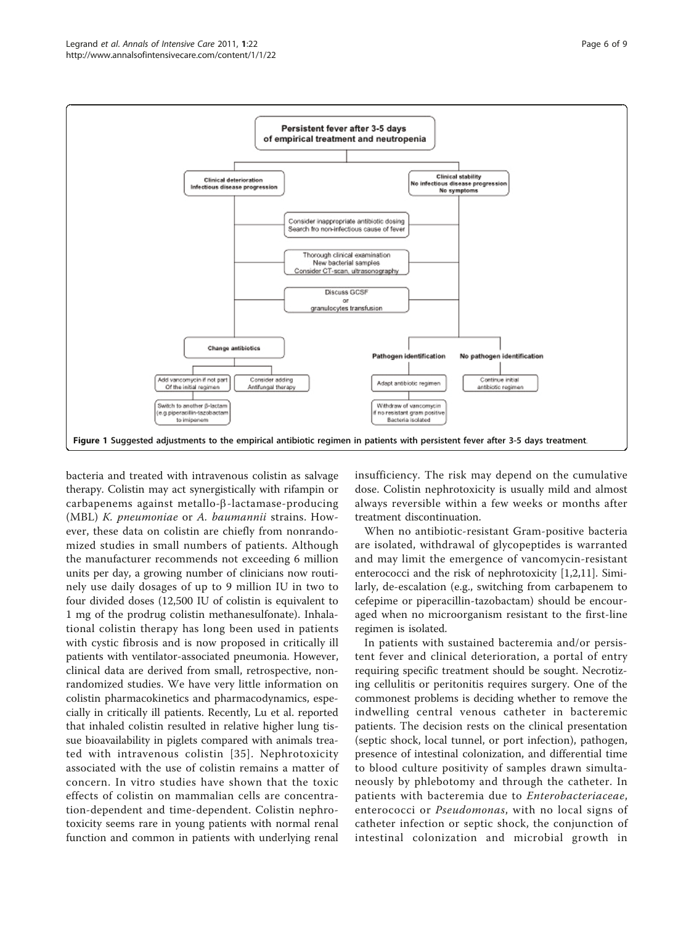<span id="page-5-0"></span>

bacteria and treated with intravenous colistin as salvage therapy. Colistin may act synergistically with rifampin or  $carbapenems$  against metallo- $\beta$ -lactamase-producing (MBL) K. pneumoniae or A. baumannii strains. However, these data on colistin are chiefly from nonrandomized studies in small numbers of patients. Although the manufacturer recommends not exceeding 6 million units per day, a growing number of clinicians now routinely use daily dosages of up to 9 million IU in two to four divided doses (12,500 IU of colistin is equivalent to 1 mg of the prodrug colistin methanesulfonate). Inhalational colistin therapy has long been used in patients with cystic fibrosis and is now proposed in critically ill patients with ventilator-associated pneumonia. However, clinical data are derived from small, retrospective, nonrandomized studies. We have very little information on colistin pharmacokinetics and pharmacodynamics, especially in critically ill patients. Recently, Lu et al. reported that inhaled colistin resulted in relative higher lung tissue bioavailability in piglets compared with animals treated with intravenous colistin [[35\]](#page-8-0). Nephrotoxicity associated with the use of colistin remains a matter of concern. In vitro studies have shown that the toxic effects of colistin on mammalian cells are concentration-dependent and time-dependent. Colistin nephrotoxicity seems rare in young patients with normal renal function and common in patients with underlying renal insufficiency. The risk may depend on the cumulative dose. Colistin nephrotoxicity is usually mild and almost always reversible within a few weeks or months after treatment discontinuation.

When no antibiotic-resistant Gram-positive bacteria are isolated, withdrawal of glycopeptides is warranted and may limit the emergence of vancomycin-resistant enterococci and the risk of nephrotoxicity [\[1,2,11](#page-7-0)]. Similarly, de-escalation (e.g., switching from carbapenem to cefepime or piperacillin-tazobactam) should be encouraged when no microorganism resistant to the first-line regimen is isolated.

In patients with sustained bacteremia and/or persistent fever and clinical deterioration, a portal of entry requiring specific treatment should be sought. Necrotizing cellulitis or peritonitis requires surgery. One of the commonest problems is deciding whether to remove the indwelling central venous catheter in bacteremic patients. The decision rests on the clinical presentation (septic shock, local tunnel, or port infection), pathogen, presence of intestinal colonization, and differential time to blood culture positivity of samples drawn simultaneously by phlebotomy and through the catheter. In patients with bacteremia due to Enterobacteriaceae, enterococci or Pseudomonas, with no local signs of catheter infection or septic shock, the conjunction of intestinal colonization and microbial growth in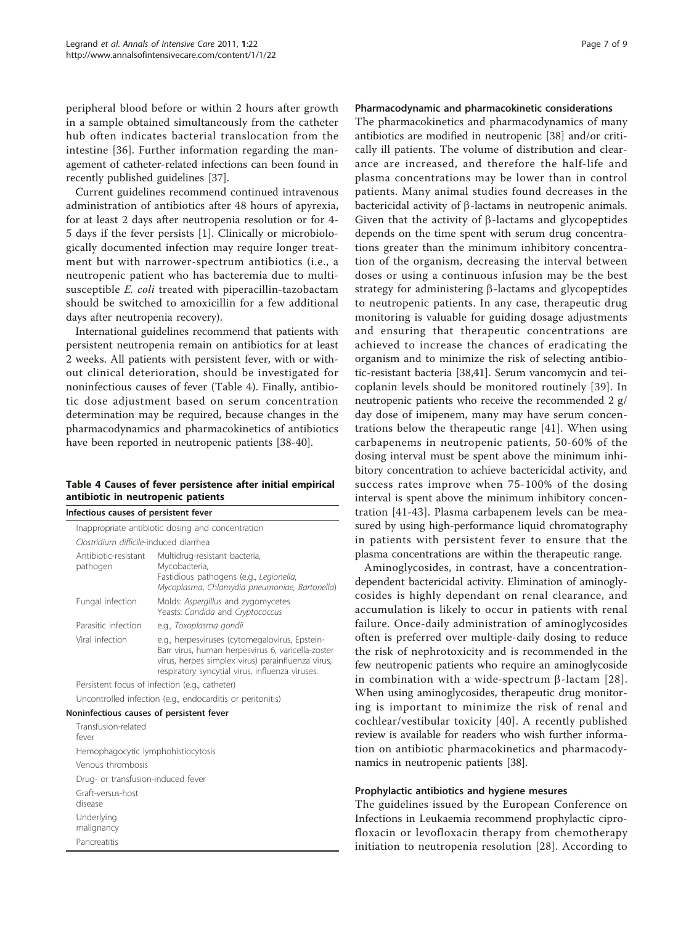peripheral blood before or within 2 hours after growth in a sample obtained simultaneously from the catheter hub often indicates bacterial translocation from the intestine [[36\]](#page-8-0). Further information regarding the management of catheter-related infections can been found in recently published guidelines [[37\]](#page-8-0).

Current guidelines recommend continued intravenous administration of antibiotics after 48 hours of apyrexia, for at least 2 days after neutropenia resolution or for 4- 5 days if the fever persists [\[1](#page-7-0)]. Clinically or microbiologically documented infection may require longer treatment but with narrower-spectrum antibiotics (i.e., a neutropenic patient who has bacteremia due to multisusceptible E. coli treated with piperacillin-tazobactam should be switched to amoxicillin for a few additional days after neutropenia recovery).

International guidelines recommend that patients with persistent neutropenia remain on antibiotics for at least 2 weeks. All patients with persistent fever, with or without clinical deterioration, should be investigated for noninfectious causes of fever (Table 4). Finally, antibiotic dose adjustment based on serum concentration determination may be required, because changes in the pharmacodynamics and pharmacokinetics of antibiotics have been reported in neutropenic patients [\[38](#page-8-0)-[40\]](#page-8-0).

## Table 4 Causes of fever persistence after initial empirical antibiotic in neutropenic patients

| Infectious causes of persistent fever             |                                                                                                                                                                                                             |  |  |
|---------------------------------------------------|-------------------------------------------------------------------------------------------------------------------------------------------------------------------------------------------------------------|--|--|
| Inappropriate antibiotic dosing and concentration |                                                                                                                                                                                                             |  |  |
| Clostridium difficile-induced diarrhea            |                                                                                                                                                                                                             |  |  |
| Antibiotic-resistant<br>pathogen                  | Multidrug-resistant bacteria,<br>Mycobacteria,<br>Fastidious pathogens (e.g., Legionella,<br>Mycoplasma, Chlamydia pneumoniae, Bartonella)                                                                  |  |  |
| Fungal infection                                  | Molds: Aspergillus and zygomycetes<br>Yeasts: Candida and Cryptococcus                                                                                                                                      |  |  |
| Parasitic infection                               | e.g., Toxoplasma gondii                                                                                                                                                                                     |  |  |
| Viral infection                                   | e.g., herpesviruses (cytomegalovirus, Epstein-<br>Barr virus, human herpesvirus 6, varicella-zoster<br>virus, herpes simplex virus) parainfluenza virus,<br>respiratory syncytial virus, influenza viruses. |  |  |
|                                                   | Persistent focus of infection (e.g., catheter)                                                                                                                                                              |  |  |
|                                                   | Uncontrolled infection (e.g., endocarditis or peritonitis)                                                                                                                                                  |  |  |
| Noninfectious causes of persistent fever          |                                                                                                                                                                                                             |  |  |

Transfusion-related fever Hemophagocytic lymphohistiocytosis Venous thrombosis Drug- or transfusion-induced fever Graft-versus-host disease Underlying malignancy Pancreatitis

## Pharmacodynamic and pharmacokinetic considerations

The pharmacokinetics and pharmacodynamics of many antibiotics are modified in neutropenic [[38\]](#page-8-0) and/or critically ill patients. The volume of distribution and clearance are increased, and therefore the half-life and plasma concentrations may be lower than in control patients. Many animal studies found decreases in the bactericidal activity of  $\beta$ -lactams in neutropenic animals. Given that the activity of  $\beta$ -lactams and glycopeptides depends on the time spent with serum drug concentrations greater than the minimum inhibitory concentration of the organism, decreasing the interval between doses or using a continuous infusion may be the best strategy for administering  $\beta$ -lactams and glycopeptides to neutropenic patients. In any case, therapeutic drug monitoring is valuable for guiding dosage adjustments and ensuring that therapeutic concentrations are achieved to increase the chances of eradicating the organism and to minimize the risk of selecting antibiotic-resistant bacteria [[38,41](#page-8-0)]. Serum vancomycin and teicoplanin levels should be monitored routinely [\[39](#page-8-0)]. In neutropenic patients who receive the recommended 2 g/ day dose of imipenem, many may have serum concentrations below the therapeutic range [[41\]](#page-8-0). When using carbapenems in neutropenic patients, 50-60% of the dosing interval must be spent above the minimum inhibitory concentration to achieve bactericidal activity, and success rates improve when 75-100% of the dosing interval is spent above the minimum inhibitory concentration [[41-43\]](#page-8-0). Plasma carbapenem levels can be measured by using high-performance liquid chromatography in patients with persistent fever to ensure that the plasma concentrations are within the therapeutic range.

Aminoglycosides, in contrast, have a concentrationdependent bactericidal activity. Elimination of aminoglycosides is highly dependant on renal clearance, and accumulation is likely to occur in patients with renal failure. Once-daily administration of aminoglycosides often is preferred over multiple-daily dosing to reduce the risk of nephrotoxicity and is recommended in the few neutropenic patients who require an aminoglycoside in combination with a wide-spectrum  $\beta$ -lactam [[28\]](#page-8-0). When using aminoglycosides, therapeutic drug monitoring is important to minimize the risk of renal and cochlear/vestibular toxicity [[40](#page-8-0)]. A recently published review is available for readers who wish further information on antibiotic pharmacokinetics and pharmacodynamics in neutropenic patients [\[38\]](#page-8-0).

#### Prophylactic antibiotics and hygiene mesures

The guidelines issued by the European Conference on Infections in Leukaemia recommend prophylactic ciprofloxacin or levofloxacin therapy from chemotherapy initiation to neutropenia resolution [\[28](#page-8-0)]. According to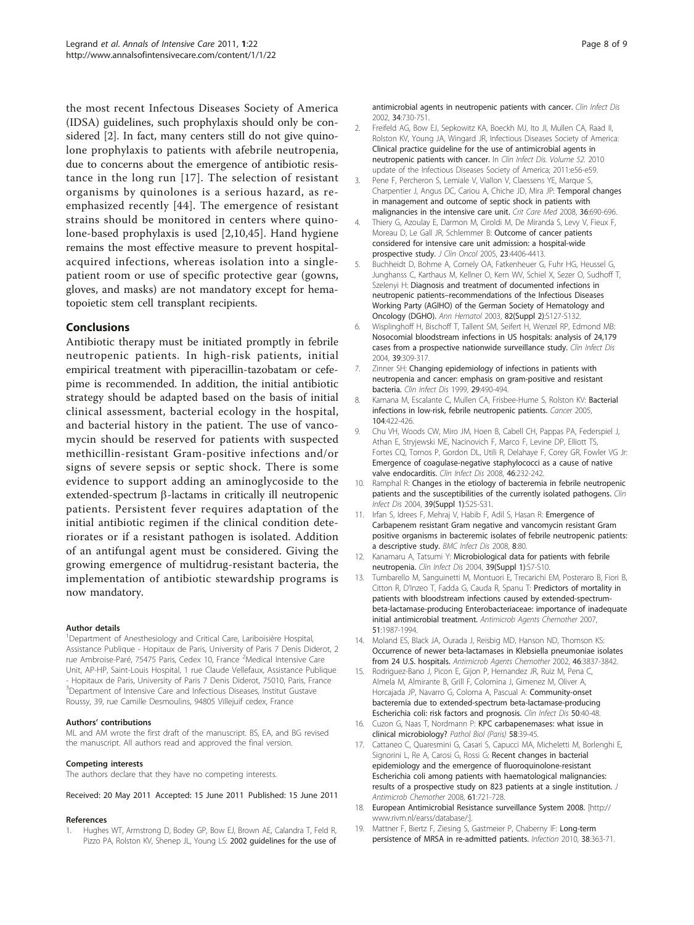<span id="page-7-0"></span>the most recent Infectous Diseases Society of America (IDSA) guidelines, such prophylaxis should only be considered [2]. In fact, many centers still do not give quinolone prophylaxis to patients with afebrile neutropenia, due to concerns about the emergence of antibiotic resistance in the long run [17]. The selection of resistant organisms by quinolones is a serious hazard, as reemphasized recently [[44](#page-8-0)]. The emergence of resistant strains should be monitored in centers where quinolone-based prophylaxis is used [2,10,[45](#page-8-0)]. Hand hygiene remains the most effective measure to prevent hospitalacquired infections, whereas isolation into a singlepatient room or use of specific protective gear (gowns, gloves, and masks) are not mandatory except for hematopoietic stem cell transplant recipients.

## Conclusions

Antibiotic therapy must be initiated promptly in febrile neutropenic patients. In high-risk patients, initial empirical treatment with piperacillin-tazobatam or cefepime is recommended. In addition, the initial antibiotic strategy should be adapted based on the basis of initial clinical assessment, bacterial ecology in the hospital, and bacterial history in the patient. The use of vancomycin should be reserved for patients with suspected methicillin-resistant Gram-positive infections and/or signs of severe sepsis or septic shock. There is some evidence to support adding an aminoglycoside to the extended-spectrum  $\beta$ -lactams in critically ill neutropenic patients. Persistent fever requires adaptation of the initial antibiotic regimen if the clinical condition deteriorates or if a resistant pathogen is isolated. Addition of an antifungal agent must be considered. Giving the growing emergence of multidrug-resistant bacteria, the implementation of antibiotic stewardship programs is now mandatory.

#### Author details

<sup>1</sup>Department of Anesthesiology and Critical Care, Lariboisière Hospital, Assistance Publique - Hopitaux de Paris, University of Paris 7 Denis Diderot, 2 rue Ambroise-Paré, 75475 Paris, Cedex 10, France <sup>2</sup>Medical Intensive Care Unit, AP-HP, Saint-Louis Hospital, 1 rue Claude Vellefaux, Assistance Publique - Hopitaux de Paris, University of Paris 7 Denis Diderot, 75010, Paris, France <sup>3</sup>Department of Intensive Care and Infectious Diseases, Institut Gustave Roussy, 39, rue Camille Desmoulins, 94805 Villejuif cedex, France

#### Authors' contributions

ML and AM wrote the first draft of the manuscript. BS, EA, and BG revised the manuscript. All authors read and approved the final version.

#### Competing interests

The authors declare that they have no competing interests.

Received: 20 May 2011 Accepted: 15 June 2011 Published: 15 June 2011

#### References

Hughes WT, Armstrong D, Bodey GP, Bow EJ, Brown AE, Calandra T, Feld R, Pizzo PA, Rolston KV, Shenep JL, Young LS: [2002 guidelines for the use of](http://www.ncbi.nlm.nih.gov/pubmed/11850858?dopt=Abstract)

[antimicrobial agents in neutropenic patients with cancer.](http://www.ncbi.nlm.nih.gov/pubmed/11850858?dopt=Abstract) Clin Infect Dis 2002, 34:730-751.

- 2. Freifeld AG, Bow EJ, Sepkowitz KA, Boeckh MJ, Ito JI, Mullen CA, Raad II, Rolston KV, Young JA, Wingard JR, Infectious Diseases Society of America: [Clinical practice guideline for the use of antimicrobial agents in](http://www.ncbi.nlm.nih.gov/pubmed/21258094?dopt=Abstract) [neutropenic patients with cancer.](http://www.ncbi.nlm.nih.gov/pubmed/21258094?dopt=Abstract) In Clin Infect Dis. Volume 52. 2010 update of the Infectious Diseases Society of America; 2011:e56-e59.
- 3. Pene F, Percheron S, Lemiale V, Viallon V, Claessens YE, Marque S, Charpentier J, Angus DC, Cariou A, Chiche JD, Mira JP: [Temporal changes](http://www.ncbi.nlm.nih.gov/pubmed/18431262?dopt=Abstract) [in management and outcome of septic shock in patients with](http://www.ncbi.nlm.nih.gov/pubmed/18431262?dopt=Abstract) [malignancies in the intensive care unit.](http://www.ncbi.nlm.nih.gov/pubmed/18431262?dopt=Abstract) Crit Care Med 2008, 36:690-696.
- 4. Thiery G, Azoulay E, Darmon M, Ciroldi M, De Miranda S, Levy V, Fieux F, Moreau D, Le Gall JR, Schlemmer B: [Outcome of cancer patients](http://www.ncbi.nlm.nih.gov/pubmed/15994150?dopt=Abstract) [considered for intensive care unit admission: a hospital-wide](http://www.ncbi.nlm.nih.gov/pubmed/15994150?dopt=Abstract) [prospective study.](http://www.ncbi.nlm.nih.gov/pubmed/15994150?dopt=Abstract) J Clin Oncol 2005, 23:4406-4413.
- 5. Buchheidt D, Bohme A, Cornely OA, Fatkenheuer G, Fuhr HG, Heussel G, Junghanss C, Karthaus M, Kellner O, Kern WV, Schiel X, Sezer O, Sudhoff T, Szelenyi H: [Diagnosis and treatment of documented infections in](http://www.ncbi.nlm.nih.gov/pubmed/13680171?dopt=Abstract) neutropenic patients–[recommendations of the Infectious Diseases](http://www.ncbi.nlm.nih.gov/pubmed/13680171?dopt=Abstract) [Working Party \(AGIHO\) of the German Society of Hematology and](http://www.ncbi.nlm.nih.gov/pubmed/13680171?dopt=Abstract) [Oncology \(DGHO\).](http://www.ncbi.nlm.nih.gov/pubmed/13680171?dopt=Abstract) Ann Hematol 2003, 82(Suppl 2):S127-S132.
- 6. Wisplinghoff H, Bischoff T, Tallent SM, Seifert H, Wenzel RP, Edmond MB: [Nosocomial bloodstream infections in US hospitals: analysis of 24,179](http://www.ncbi.nlm.nih.gov/pubmed/15306996?dopt=Abstract) [cases from a prospective nationwide surveillance study.](http://www.ncbi.nlm.nih.gov/pubmed/15306996?dopt=Abstract) Clin Infect Dis 2004, 39:309-317.
- 7. Zinner SH: [Changing epidemiology of infections in patients with](http://www.ncbi.nlm.nih.gov/pubmed/10530434?dopt=Abstract) [neutropenia and cancer: emphasis on gram-positive and resistant](http://www.ncbi.nlm.nih.gov/pubmed/10530434?dopt=Abstract) [bacteria.](http://www.ncbi.nlm.nih.gov/pubmed/10530434?dopt=Abstract) Clin Infect Dis 1999, 29:490-494.
- Kamana M, Escalante C, Mullen CA, Frisbee-Hume S, Rolston KV: [Bacterial](http://www.ncbi.nlm.nih.gov/pubmed/15937905?dopt=Abstract) [infections in low-risk, febrile neutropenic patients.](http://www.ncbi.nlm.nih.gov/pubmed/15937905?dopt=Abstract) Cancer 2005, 104:422-426.
- 9. Chu VH, Woods CW, Miro JM, Hoen B, Cabell CH, Pappas PA, Federspiel J, Athan E, Stryjewski ME, Nacinovich F, Marco F, Levine DP, Elliott TS, Fortes CQ, Tornos P, Gordon DL, Utili R, Delahaye F, Corey GR, Fowler VG Jr: [Emergence of coagulase-negative staphylococci as a cause of native](http://www.ncbi.nlm.nih.gov/pubmed/18171255?dopt=Abstract) [valve endocarditis.](http://www.ncbi.nlm.nih.gov/pubmed/18171255?dopt=Abstract) Clin Infect Dis 2008, 46:232-242.
- 10. Ramphal R: [Changes in the etiology of bacteremia in febrile neutropenic](http://www.ncbi.nlm.nih.gov/pubmed/15250017?dopt=Abstract) [patients and the susceptibilities of the currently isolated pathogens.](http://www.ncbi.nlm.nih.gov/pubmed/15250017?dopt=Abstract) Clin Infect Dis 2004, 39(Suppl 1):S25-S31.
- 11. Irfan S, Idrees F, Mehraj V, Habib F, Adil S, Hasan R: [Emergence of](http://www.ncbi.nlm.nih.gov/pubmed/18541017?dopt=Abstract) [Carbapenem resistant Gram negative and vancomycin resistant Gram](http://www.ncbi.nlm.nih.gov/pubmed/18541017?dopt=Abstract) [positive organisms in bacteremic isolates of febrile neutropenic patients:](http://www.ncbi.nlm.nih.gov/pubmed/18541017?dopt=Abstract) [a descriptive study.](http://www.ncbi.nlm.nih.gov/pubmed/18541017?dopt=Abstract) BMC Infect Dis 2008, 8:80.
- 12. Kanamaru A, Tatsumi Y: [Microbiological data for patients with febrile](http://www.ncbi.nlm.nih.gov/pubmed/15250014?dopt=Abstract) [neutropenia.](http://www.ncbi.nlm.nih.gov/pubmed/15250014?dopt=Abstract) Clin Infect Dis 2004, 39(Suppl 1):S7-S10.
- 13. Tumbarello M, Sanguinetti M, Montuori E, Trecarichi EM, Posteraro B, Fiori B, Citton R, D'Inzeo T, Fadda G, Cauda R, Spanu T: [Predictors of mortality in](http://www.ncbi.nlm.nih.gov/pubmed/17387156?dopt=Abstract) [patients with bloodstream infections caused by extended-spectrum](http://www.ncbi.nlm.nih.gov/pubmed/17387156?dopt=Abstract)[beta-lactamase-producing Enterobacteriaceae: importance of inadequate](http://www.ncbi.nlm.nih.gov/pubmed/17387156?dopt=Abstract) [initial antimicrobial treatment.](http://www.ncbi.nlm.nih.gov/pubmed/17387156?dopt=Abstract) Antimicrob Agents Chemother 2007, 51:1987-1994.
- 14. Moland ES, Black JA, Ourada J, Reisbig MD, Hanson ND, Thomson KS: Occurrence of [newer beta-lactamases in Klebsiella pneumoniae isolates](http://www.ncbi.nlm.nih.gov/pubmed/12435685?dopt=Abstract) [from 24 U.S. hospitals.](http://www.ncbi.nlm.nih.gov/pubmed/12435685?dopt=Abstract) Antimicrob Agents Chemother 2002, 46:3837-3842.
- 15. Rodriguez-Bano J, Picon E, Gijon P, Hernandez JR, Ruiz M, Pena C, Almela M, Almirante B, Grill F, Colomina J, Gimenez M, Oliver A, Horcajada JP, Navarro G, Coloma A, Pascual A: Community-onset bacteremia due to extended-spectrum beta-lactamase-producing Escherichia coli: risk factors and prognosis. Clin Infect Dis 50:40-48.
- 16. Cuzon G, Naas T, Nordmann P: KPC carbapenemases: what issue in clinical microbiology? Pathol Biol (Paris) 58:39-45.
- 17. Cattaneo C, Quaresmini G, Casari S, Capucci MA, Micheletti M, Borlenghi E, Signorini L, Re A, Carosi G, Rossi G: [Recent changes in bacterial](http://www.ncbi.nlm.nih.gov/pubmed/18218645?dopt=Abstract) [epidemiology and the emergence of fluoroquinolone-resistant](http://www.ncbi.nlm.nih.gov/pubmed/18218645?dopt=Abstract) [Escherichia coli among patients with haematological malignancies:](http://www.ncbi.nlm.nih.gov/pubmed/18218645?dopt=Abstract) [results of a prospective study on 823 patients at a single institution.](http://www.ncbi.nlm.nih.gov/pubmed/18218645?dopt=Abstract) J Antimicrob Chemother 2008, 61:721-728.
- 18. European Antimicrobial Resistance surveillance System 2008. [[http://](http://www.rivm.nl/earss/database/:) [www.rivm.nl/earss/database/:\]](http://www.rivm.nl/earss/database/:).
- 19. Mattner F, Biertz F, Ziesing S, Gastmeier P, Chaberny IF: [Long-term](http://www.ncbi.nlm.nih.gov/pubmed/20602144?dopt=Abstract) [persistence of MRSA in re-admitted patients.](http://www.ncbi.nlm.nih.gov/pubmed/20602144?dopt=Abstract) Infection 2010, 38:363-71.